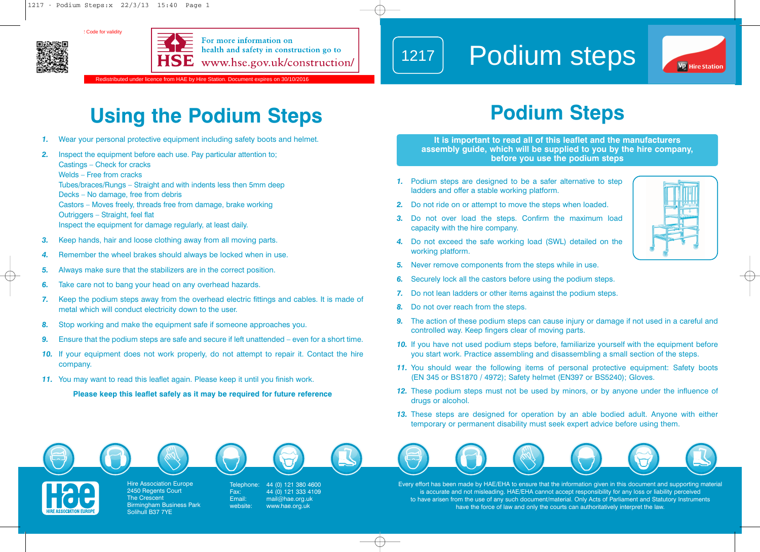

Code for validity<br>
Redistributed under licence from HAE by Hire Station. Document expires on 30/10/2016 Check QR Code for a 30/10/2016 Check QR Code for a 30/10/2016 Check QR Code for a 30/10/2016 Check QR Code for a 30/10

# **1217 Podium Steps** <sup>1217</sup> Podium steps



### **Using the Podium Steps**

- *1.* Wear your personal protective equipment including safety boots and helmet.
- *2.* Inspect the equipment before each use. Pay particular attention to; Castings – Check for cracks Welds – Free from cracks Tubes/braces/Rungs – Straight and with indents less then 5mm deep Decks – No damage, free from debris Castors – Moves freely, threads free from damage, brake working Outriggers – Straight, feel flat Inspect the equipment for damage regularly, at least daily.
- *3.* Keep hands, hair and loose clothing away from all moving parts.
- *4.* Remember the wheel brakes should always be locked when in use.
- *5.* Always make sure that the stabilizers are in the correct position.
- *6.* Take care not to bang your head on any overhead hazards.
- *7.* Keep the podium steps away from the overhead electric fittings and cables. It is made of metal which will conduct electricity down to the user.
- *8.* Stop working and make the equipment safe if someone approaches you.
- *9.* Ensure that the podium steps are safe and secure if left unattended even for a short time.
- **10.** If your equipment does not work properly, do not attempt to repair it. Contact the hire company.
- *11.* You may want to read this leaflet again. Please keep it until you finish work.

**Please keep this leaflet safely as it may be required for future reference**

## **Podium Steps**

**It is important to read all of this leaflet and the manufacturers assembly guide, which will be supplied to you by the hire company, before you use the podium steps**

- *1.* Podium steps are designed to be a safer alternative to step ladders and offer a stable working platform.
- *2.* Do not ride on or attempt to move the steps when loaded.
- *3.* Do not over load the steps. Confirm the maximum load capacity with the hire company.
- *4.* Do not exceed the safe working load (SWL) detailed on the working platform.



- *5.* Never remove components from the steps while in use.
- *6.* Securely lock all the castors before using the podium steps.
- *7.* Do not lean ladders or other items against the podium steps.
- *8.* Do not over reach from the steps.
- *9.* The action of these podium steps can cause injury or damage if not used in a careful and controlled way. Keep fingers clear of moving parts.
- *10.* If you have not used podium steps before, familiarize yourself with the equipment before you start work. Practice assembling and disassembling a small section of the steps.
- *11.* You should wear the following items of personal protective equipment: Safety boots (EN 345 or BS1870 / 4972); Safety helmet (EN397 or BS5240); Gloves.
- 12. These podium steps must not be used by minors, or by anyone under the influence of drugs or alcohol.
- *13.* These steps are designed for operation by an able bodied adult. Anyone with either temporary or permanent disability must seek expert advice before using them.



Every effort has been made by HAE/EHA to ensure that the information given in this document and supporting material is accurate and not misleading. HAE/EHA cannot accept responsibility for any loss or liability perceived to have arisen from the use of any such document/material. Only Acts of Parliament and Statutory Instruments have the force of law and only the courts can authoritatively interpret the law.



Hire Association Europe 2450 Regents Court The Crescent Birmingham Business Park Solihull B37 7YE

Telephone: 44 (0) 121 380 4600 Fax: 44 (0) 121 333 4109<br>Email: mail@hae.org.uk Email: mail@hae.org.uk<br>website: www.hae.org.uk www.hae.org.uk